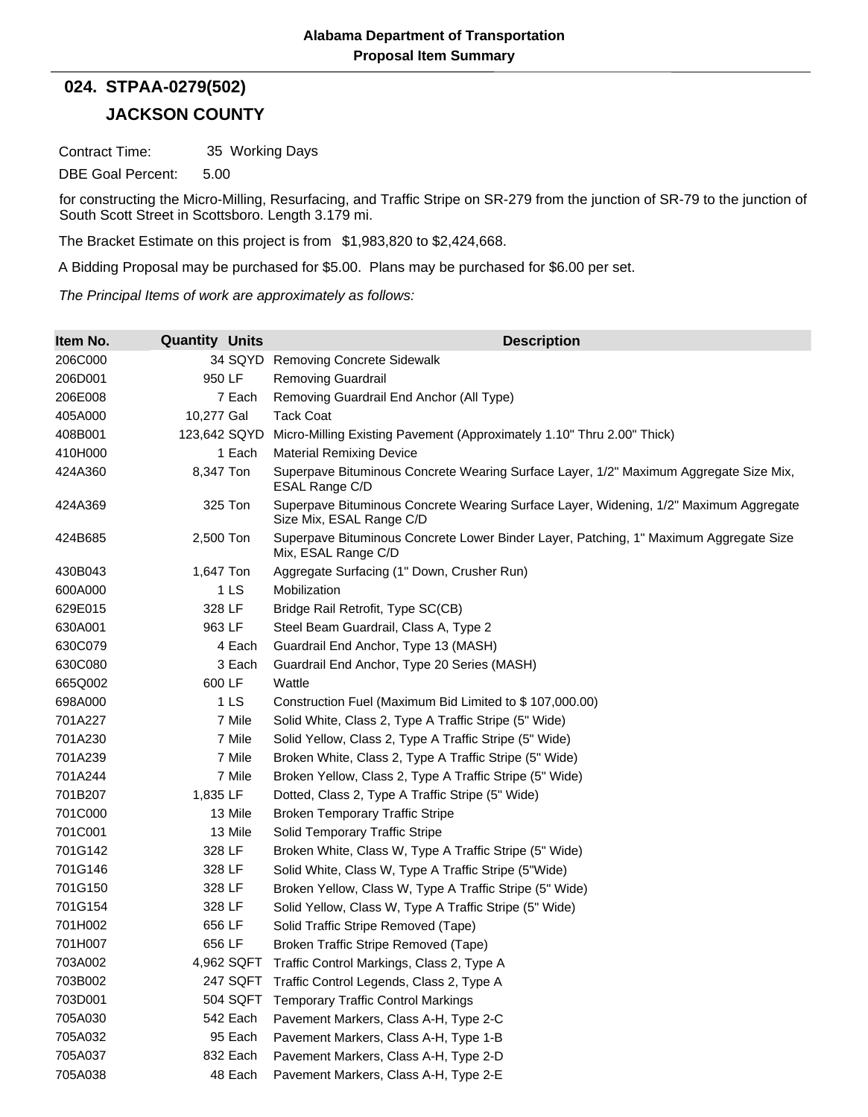## **JACKSON COUNTY 024. STPAA-0279(502)**

Contract Time: 35 Working Days

DBE Goal Percent: 5.00

for constructing the Micro-Milling, Resurfacing, and Traffic Stripe on SR-279 from the junction of SR-79 to the junction of South Scott Street in Scottsboro. Length 3.179 mi.

The Bracket Estimate on this project is from \$1,983,820 to \$2,424,668.

A Bidding Proposal may be purchased for \$5.00. Plans may be purchased for \$6.00 per set.

*The Principal Items of work are approximately as follows:*

| Item No. | <b>Quantity Units</b> | <b>Description</b>                                                                                                |
|----------|-----------------------|-------------------------------------------------------------------------------------------------------------------|
| 206C000  | 34 SQYD               | <b>Removing Concrete Sidewalk</b>                                                                                 |
| 206D001  | 950 LF                | <b>Removing Guardrail</b>                                                                                         |
| 206E008  | 7 Each                | Removing Guardrail End Anchor (All Type)                                                                          |
| 405A000  | 10,277 Gal            | <b>Tack Coat</b>                                                                                                  |
| 408B001  | 123,642 SQYD          | Micro-Milling Existing Pavement (Approximately 1.10" Thru 2.00" Thick)                                            |
| 410H000  | 1 Each                | <b>Material Remixing Device</b>                                                                                   |
| 424A360  | 8,347 Ton             | Superpave Bituminous Concrete Wearing Surface Layer, 1/2" Maximum Aggregate Size Mix,<br>ESAL Range C/D           |
| 424A369  | 325 Ton               | Superpave Bituminous Concrete Wearing Surface Layer, Widening, 1/2" Maximum Aggregate<br>Size Mix, ESAL Range C/D |
| 424B685  | 2,500 Ton             | Superpave Bituminous Concrete Lower Binder Layer, Patching, 1" Maximum Aggregate Size<br>Mix, ESAL Range C/D      |
| 430B043  | 1,647 Ton             | Aggregate Surfacing (1" Down, Crusher Run)                                                                        |
| 600A000  | 1 LS                  | Mobilization                                                                                                      |
| 629E015  | 328 LF                | Bridge Rail Retrofit, Type SC(CB)                                                                                 |
| 630A001  | 963 LF                | Steel Beam Guardrail, Class A, Type 2                                                                             |
| 630C079  | 4 Each                | Guardrail End Anchor, Type 13 (MASH)                                                                              |
| 630C080  | 3 Each                | Guardrail End Anchor, Type 20 Series (MASH)                                                                       |
| 665Q002  | 600 LF                | Wattle                                                                                                            |
| 698A000  | 1 LS                  | Construction Fuel (Maximum Bid Limited to \$107,000.00)                                                           |
| 701A227  | 7 Mile                | Solid White, Class 2, Type A Traffic Stripe (5" Wide)                                                             |
| 701A230  | 7 Mile                | Solid Yellow, Class 2, Type A Traffic Stripe (5" Wide)                                                            |
| 701A239  | 7 Mile                | Broken White, Class 2, Type A Traffic Stripe (5" Wide)                                                            |
| 701A244  | 7 Mile                | Broken Yellow, Class 2, Type A Traffic Stripe (5" Wide)                                                           |
| 701B207  | 1,835 LF              | Dotted, Class 2, Type A Traffic Stripe (5" Wide)                                                                  |
| 701C000  | 13 Mile               | <b>Broken Temporary Traffic Stripe</b>                                                                            |
| 701C001  | 13 Mile               | Solid Temporary Traffic Stripe                                                                                    |
| 701G142  | 328 LF                | Broken White, Class W, Type A Traffic Stripe (5" Wide)                                                            |
| 701G146  | 328 LF                | Solid White, Class W, Type A Traffic Stripe (5"Wide)                                                              |
| 701G150  | 328 LF                | Broken Yellow, Class W, Type A Traffic Stripe (5" Wide)                                                           |
| 701G154  | 328 LF                | Solid Yellow, Class W, Type A Traffic Stripe (5" Wide)                                                            |
| 701H002  | 656 LF                | Solid Traffic Stripe Removed (Tape)                                                                               |
| 701H007  | 656 LF                | Broken Traffic Stripe Removed (Tape)                                                                              |
| 703A002  | 4,962 SQFT            | Traffic Control Markings, Class 2, Type A                                                                         |
| 703B002  |                       | 247 SQFT Traffic Control Legends, Class 2, Type A                                                                 |
| 703D001  | 504 SQFT              | <b>Temporary Traffic Control Markings</b>                                                                         |
| 705A030  | 542 Each              | Pavement Markers, Class A-H, Type 2-C                                                                             |
| 705A032  | 95 Each               | Pavement Markers, Class A-H, Type 1-B                                                                             |
| 705A037  | 832 Each              | Pavement Markers, Class A-H, Type 2-D                                                                             |
| 705A038  | 48 Each               | Pavement Markers, Class A-H, Type 2-E                                                                             |